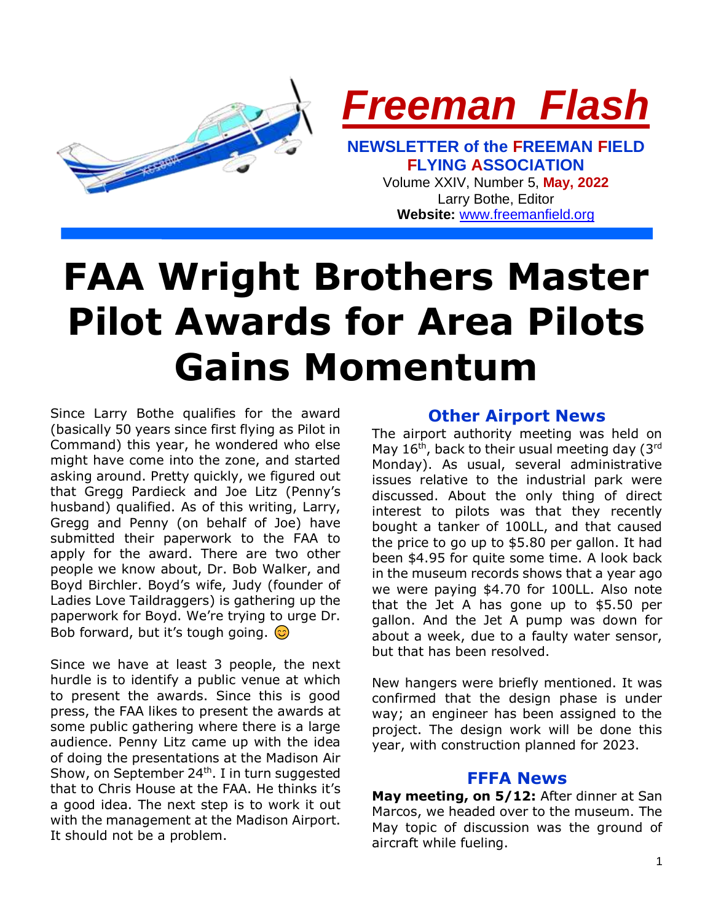

**Website:** [www.freemanfield.org](http://www.freemanfield.org/)

# **FAA Wright Brothers Master Pilot Awards for Area Pilots Gains Momentum**

Since Larry Bothe qualifies for the award (basically 50 years since first flying as Pilot in Command) this year, he wondered who else might have come into the zone, and started asking around. Pretty quickly, we figured out that Gregg Pardieck and Joe Litz (Penny's husband) qualified. As of this writing, Larry, Gregg and Penny (on behalf of Joe) have submitted their paperwork to the FAA to apply for the award. There are two other people we know about, Dr. Bob Walker, and Boyd Birchler. Boyd's wife, Judy (founder of Ladies Love Taildraggers) is gathering up the paperwork for Boyd. We're trying to urge Dr. Bob forward, but it's tough going.  $\odot$ 

Since we have at least 3 people, the next hurdle is to identify a public venue at which to present the awards. Since this is good press, the FAA likes to present the awards at some public gathering where there is a large audience. Penny Litz came up with the idea of doing the presentations at the Madison Air Show, on September  $24<sup>th</sup>$ . I in turn suggested that to Chris House at the FAA. He thinks it's a good idea. The next step is to work it out with the management at the Madison Airport. It should not be a problem.

# **Other Airport News**

The airport authority meeting was held on May  $16<sup>th</sup>$ , back to their usual meeting day (3<sup>rd</sup>) Monday). As usual, several administrative issues relative to the industrial park were discussed. About the only thing of direct interest to pilots was that they recently bought a tanker of 100LL, and that caused the price to go up to \$5.80 per gallon. It had been \$4.95 for quite some time. A look back in the museum records shows that a year ago we were paying \$4.70 for 100LL. Also note that the Jet A has gone up to \$5.50 per gallon. And the Jet A pump was down for about a week, due to a faulty water sensor, but that has been resolved.

New hangers were briefly mentioned. It was confirmed that the design phase is under way; an engineer has been assigned to the project. The design work will be done this year, with construction planned for 2023.

## **FFFA News**

**May meeting, on 5/12:** After dinner at San Marcos, we headed over to the museum. The May topic of discussion was the ground of aircraft while fueling.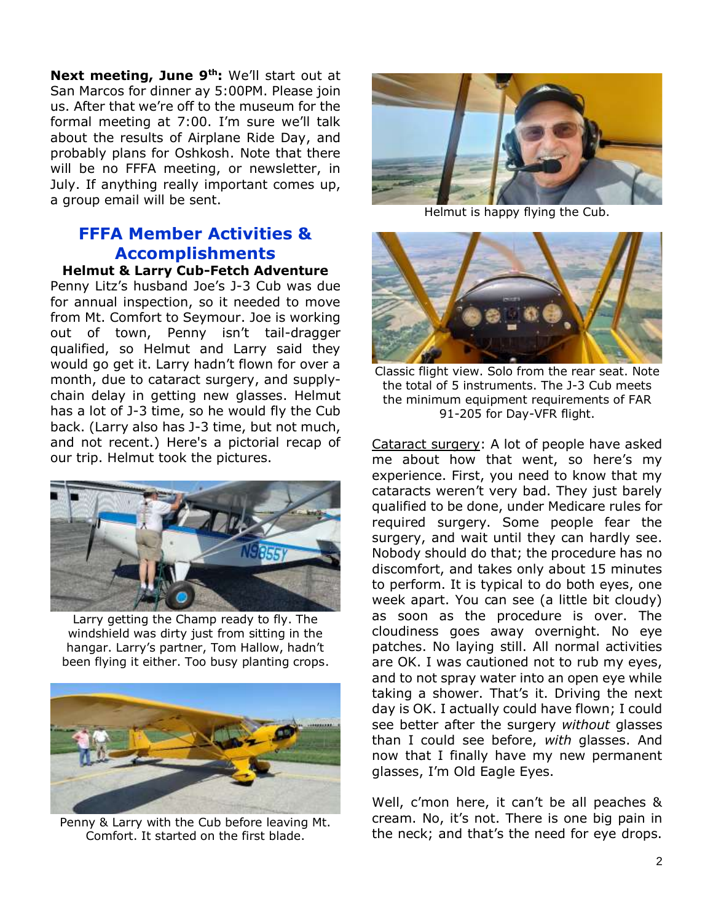**Next meeting, June 9th:** We'll start out at San Marcos for dinner ay 5:00PM. Please join us. After that we're off to the museum for the formal meeting at 7:00. I'm sure we'll talk about the results of Airplane Ride Day, and probably plans for Oshkosh. Note that there will be no FFFA meeting, or newsletter, in July. If anything really important comes up, a group email will be sent.

# **FFFA Member Activities & Accomplishments**

#### **Helmut & Larry Cub-Fetch Adventure** Penny Litz's husband Joe's J-3 Cub was due

for annual inspection, so it needed to move from Mt. Comfort to Seymour. Joe is working out of town, Penny isn't tail-dragger qualified, so Helmut and Larry said they would go get it. Larry hadn't flown for over a month, due to cataract surgery, and supplychain delay in getting new glasses. Helmut has a lot of J-3 time, so he would fly the Cub back. (Larry also has J-3 time, but not much, and not recent.) Here's a pictorial recap of our trip. Helmut took the pictures.



Larry getting the Champ ready to fly. The windshield was dirty just from sitting in the hangar. Larry's partner, Tom Hallow, hadn't been flying it either. Too busy planting crops.



Penny & Larry with the Cub before leaving Mt. Comfort. It started on the first blade.



Helmut is happy flying the Cub.



Classic flight view. Solo from the rear seat. Note the total of 5 instruments. The J-3 Cub meets the minimum equipment requirements of FAR 91-205 for Day-VFR flight.

Cataract surgery: A lot of people have asked me about how that went, so here's my experience. First, you need to know that my cataracts weren't very bad. They just barely qualified to be done, under Medicare rules for required surgery. Some people fear the surgery, and wait until they can hardly see. Nobody should do that; the procedure has no discomfort, and takes only about 15 minutes to perform. It is typical to do both eyes, one week apart. You can see (a little bit cloudy) as soon as the procedure is over. The cloudiness goes away overnight. No eye patches. No laying still. All normal activities are OK. I was cautioned not to rub my eyes, and to not spray water into an open eye while taking a shower. That's it. Driving the next day is OK. I actually could have flown; I could see better after the surgery *without* glasses than I could see before, *with* glasses. And now that I finally have my new permanent glasses, I'm Old Eagle Eyes.

Well, c'mon here, it can't be all peaches & cream. No, it's not. There is one big pain in the neck; and that's the need for eye drops.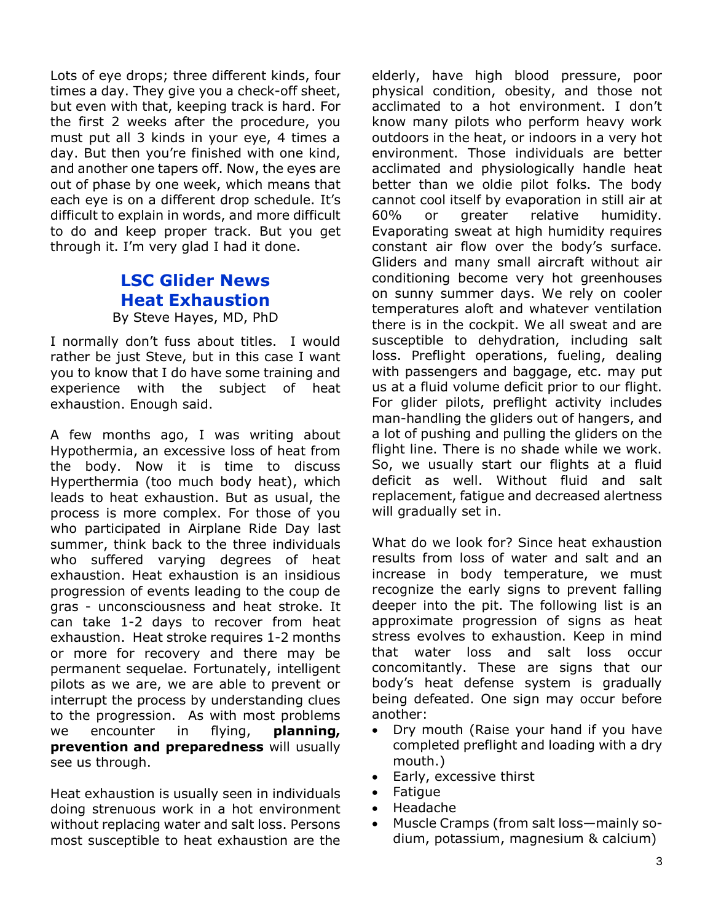Lots of eye drops; three different kinds, four times a day. They give you a check-off sheet, but even with that, keeping track is hard. For the first 2 weeks after the procedure, you must put all 3 kinds in your eye, 4 times a day. But then you're finished with one kind, and another one tapers off. Now, the eyes are out of phase by one week, which means that each eye is on a different drop schedule. It's difficult to explain in words, and more difficult to do and keep proper track. But you get through it. I'm very glad I had it done.

# **LSC Glider News Heat Exhaustion** By Steve Hayes, MD, PhD

I normally don't fuss about titles. I would rather be just Steve, but in this case I want you to know that I do have some training and experience with the subject of heat exhaustion. Enough said.

A few months ago, I was writing about Hypothermia, an excessive loss of heat from the body. Now it is time to discuss Hyperthermia (too much body heat), which leads to heat exhaustion. But as usual, the process is more complex. For those of you who participated in Airplane Ride Day last summer, think back to the three individuals who suffered varying degrees of heat exhaustion. Heat exhaustion is an insidious progression of events leading to the coup de gras - unconsciousness and heat stroke. It can take 1-2 days to recover from heat exhaustion. Heat stroke requires 1-2 months or more for recovery and there may be permanent sequelae. Fortunately, intelligent pilots as we are, we are able to prevent or interrupt the process by understanding clues to the progression. As with most problems we encounter in flying, **planning, prevention and preparedness** will usually see us through.

Heat exhaustion is usually seen in individuals doing strenuous work in a hot environment without replacing water and salt loss. Persons most susceptible to heat exhaustion are the

elderly, have high blood pressure, poor physical condition, obesity, and those not acclimated to a hot environment. I don't know many pilots who perform heavy work outdoors in the heat, or indoors in a very hot environment. Those individuals are better acclimated and physiologically handle heat better than we oldie pilot folks. The body cannot cool itself by evaporation in still air at 60% or greater relative humidity. Evaporating sweat at high humidity requires constant air flow over the body's surface. Gliders and many small aircraft without air conditioning become very hot greenhouses on sunny summer days. We rely on cooler temperatures aloft and whatever ventilation there is in the cockpit. We all sweat and are susceptible to dehydration, including salt loss. Preflight operations, fueling, dealing with passengers and baggage, etc. may put us at a fluid volume deficit prior to our flight. For glider pilots, preflight activity includes man-handling the gliders out of hangers, and a lot of pushing and pulling the gliders on the flight line. There is no shade while we work. So, we usually start our flights at a fluid deficit as well. Without fluid and salt replacement, fatigue and decreased alertness will gradually set in.

What do we look for? Since heat exhaustion results from loss of water and salt and an increase in body temperature, we must recognize the early signs to prevent falling deeper into the pit. The following list is an approximate progression of signs as heat stress evolves to exhaustion. Keep in mind that water loss and salt loss occur concomitantly. These are signs that our body's heat defense system is gradually being defeated. One sign may occur before another:

- Dry mouth (Raise your hand if you have completed preflight and loading with a dry mouth.)
- Early, excessive thirst
- Fatigue
- Headache
- Muscle Cramps (from salt loss—mainly sodium, potassium, magnesium & calcium)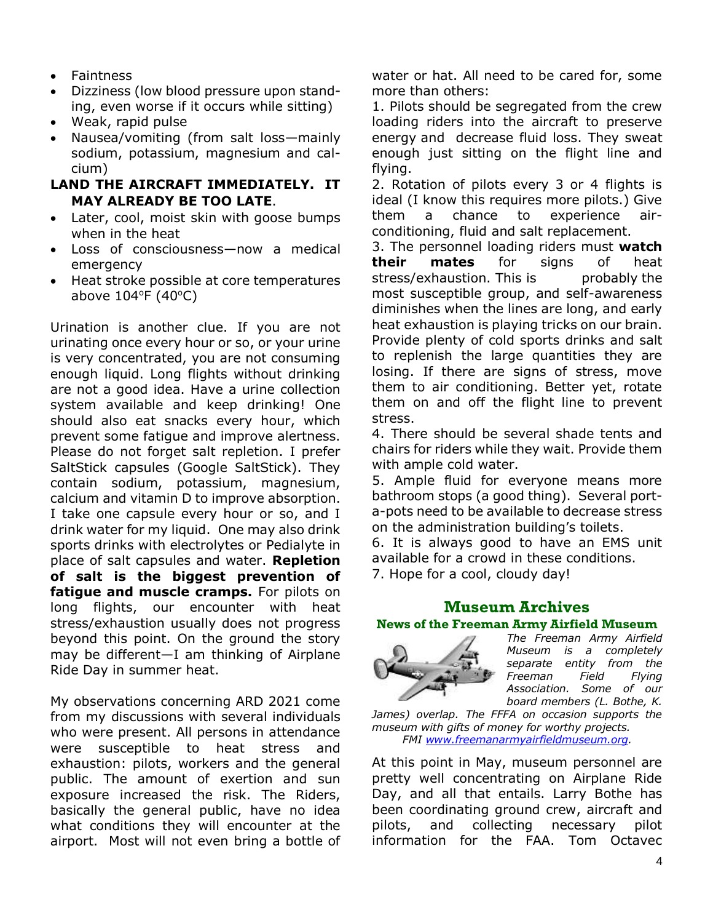- Faintness
- Dizziness (low blood pressure upon standing, even worse if it occurs while sitting)
- Weak, rapid pulse
- Nausea/vomiting (from salt loss—mainly sodium, potassium, magnesium and calcium)

### **LAND THE AIRCRAFT IMMEDIATELY. IT MAY ALREADY BE TOO LATE**.

- Later, cool, moist skin with goose bumps when in the heat
- Loss of consciousness—now a medical emergency
- Heat stroke possible at core temperatures above  $104^{\circ}F(40^{\circ}C)$

Urination is another clue. If you are not urinating once every hour or so, or your urine is very concentrated, you are not consuming enough liquid. Long flights without drinking are not a good idea. Have a urine collection system available and keep drinking! One should also eat snacks every hour, which prevent some fatigue and improve alertness. Please do not forget salt repletion. I prefer SaltStick capsules (Google SaltStick). They contain sodium, potassium, magnesium, calcium and vitamin D to improve absorption. I take one capsule every hour or so, and I drink water for my liquid. One may also drink sports drinks with electrolytes or Pedialyte in place of salt capsules and water. **Repletion of salt is the biggest prevention of fatigue and muscle cramps.** For pilots on long flights, our encounter with heat stress/exhaustion usually does not progress beyond this point. On the ground the story may be different—I am thinking of Airplane Ride Day in summer heat.

My observations concerning ARD 2021 come from my discussions with several individuals who were present. All persons in attendance were susceptible to heat stress and exhaustion: pilots, workers and the general public. The amount of exertion and sun exposure increased the risk. The Riders, basically the general public, have no idea what conditions they will encounter at the airport. Most will not even bring a bottle of water or hat. All need to be cared for, some more than others:

1. Pilots should be segregated from the crew loading riders into the aircraft to preserve energy and decrease fluid loss. They sweat enough just sitting on the flight line and flying.

2. Rotation of pilots every 3 or 4 flights is ideal (I know this requires more pilots.) Give them a chance to experience airconditioning, fluid and salt replacement.

3. The personnel loading riders must **watch their mates** for signs of heat stress/exhaustion. This is example the most susceptible group, and self-awareness diminishes when the lines are long, and early heat exhaustion is playing tricks on our brain. Provide plenty of cold sports drinks and salt to replenish the large quantities they are losing. If there are signs of stress, move them to air conditioning. Better yet, rotate them on and off the flight line to prevent stress.

4. There should be several shade tents and chairs for riders while they wait. Provide them with ample cold water.

5. Ample fluid for everyone means more bathroom stops (a good thing). Several porta-pots need to be available to decrease stress on the administration building's toilets.

6. It is always good to have an EMS unit available for a crowd in these conditions. 7. Hope for a cool, cloudy day!

#### **Museum Archives News of the Freeman Army Airfield Museum**



*The Freeman Army Airfield Museum is a completely separate entity from the Freeman Field Flying Association. Some of our board members (L. Bothe, K.* 

*James) overlap. The FFFA on occasion supports the museum with gifts of money for worthy projects. FMI [www.freemanarmyairfieldmuseum.org.](http://www.freemanarmyairfieldmuseum.org/)*

At this point in May, museum personnel are pretty well concentrating on Airplane Ride Day, and all that entails. Larry Bothe has been coordinating ground crew, aircraft and pilots, and collecting necessary pilot information for the FAA. Tom Octavec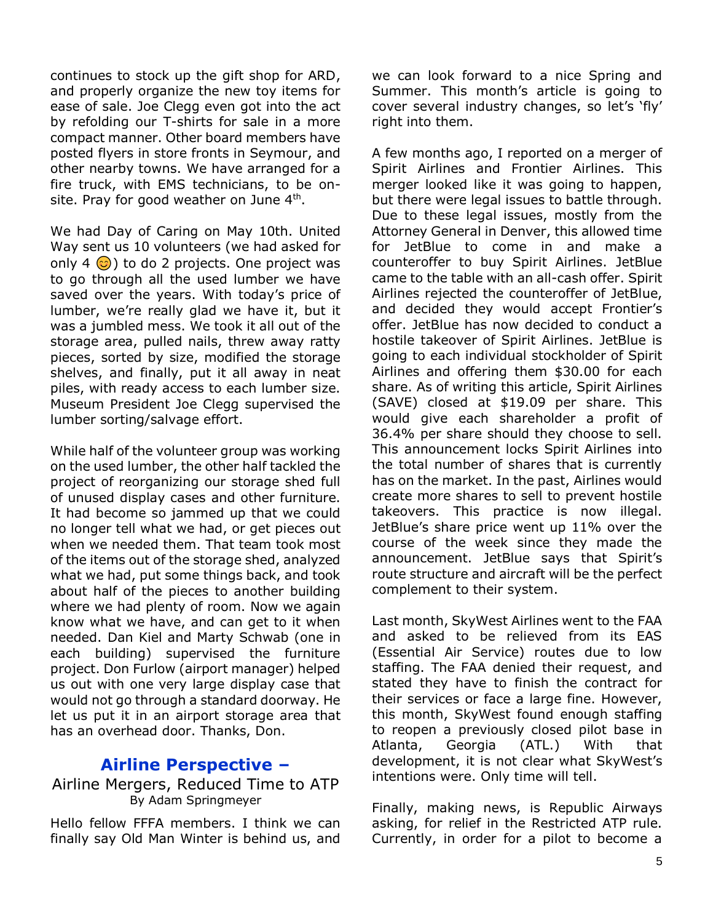continues to stock up the gift shop for ARD, and properly organize the new toy items for ease of sale. Joe Clegg even got into the act by refolding our T-shirts for sale in a more compact manner. Other board members have posted flyers in store fronts in Seymour, and other nearby towns. We have arranged for a fire truck, with EMS technicians, to be onsite. Pray for good weather on June  $4<sup>th</sup>$ .

We had Day of Caring on May 10th. United Way sent us 10 volunteers (we had asked for only 4  $\odot$ ) to do 2 projects. One project was to go through all the used lumber we have saved over the years. With today's price of lumber, we're really glad we have it, but it was a jumbled mess. We took it all out of the storage area, pulled nails, threw away ratty pieces, sorted by size, modified the storage shelves, and finally, put it all away in neat piles, with ready access to each lumber size. Museum President Joe Clegg supervised the lumber sorting/salvage effort.

While half of the volunteer group was working on the used lumber, the other half tackled the project of reorganizing our storage shed full of unused display cases and other furniture. It had become so jammed up that we could no longer tell what we had, or get pieces out when we needed them. That team took most of the items out of the storage shed, analyzed what we had, put some things back, and took about half of the pieces to another building where we had plenty of room. Now we again know what we have, and can get to it when needed. Dan Kiel and Marty Schwab (one in each building) supervised the furniture project. Don Furlow (airport manager) helped us out with one very large display case that would not go through a standard doorway. He let us put it in an airport storage area that has an overhead door. Thanks, Don.

# **Airline Perspective –**

#### Airline Mergers, Reduced Time to ATP By Adam Springmeyer

Hello fellow FFFA members. I think we can finally say Old Man Winter is behind us, and we can look forward to a nice Spring and Summer. This month's article is going to cover several industry changes, so let's 'fly' right into them.

A few months ago, I reported on a merger of Spirit Airlines and Frontier Airlines. This merger looked like it was going to happen, but there were legal issues to battle through. Due to these legal issues, mostly from the Attorney General in Denver, this allowed time for JetBlue to come in and make a counteroffer to buy Spirit Airlines. JetBlue came to the table with an all-cash offer. Spirit Airlines rejected the counteroffer of JetBlue, and decided they would accept Frontier's offer. JetBlue has now decided to conduct a hostile takeover of Spirit Airlines. JetBlue is going to each individual stockholder of Spirit Airlines and offering them \$30.00 for each share. As of writing this article, Spirit Airlines (SAVE) closed at \$19.09 per share. This would give each shareholder a profit of 36.4% per share should they choose to sell. This announcement locks Spirit Airlines into the total number of shares that is currently has on the market. In the past, Airlines would create more shares to sell to prevent hostile takeovers. This practice is now illegal. JetBlue's share price went up 11% over the course of the week since they made the announcement. JetBlue says that Spirit's route structure and aircraft will be the perfect complement to their system.

Last month, SkyWest Airlines went to the FAA and asked to be relieved from its EAS (Essential Air Service) routes due to low staffing. The FAA denied their request, and stated they have to finish the contract for their services or face a large fine. However, this month, SkyWest found enough staffing to reopen a previously closed pilot base in Atlanta, Georgia (ATL.) With that development, it is not clear what SkyWest's intentions were. Only time will tell.

Finally, making news, is Republic Airways asking, for relief in the Restricted ATP rule. Currently, in order for a pilot to become a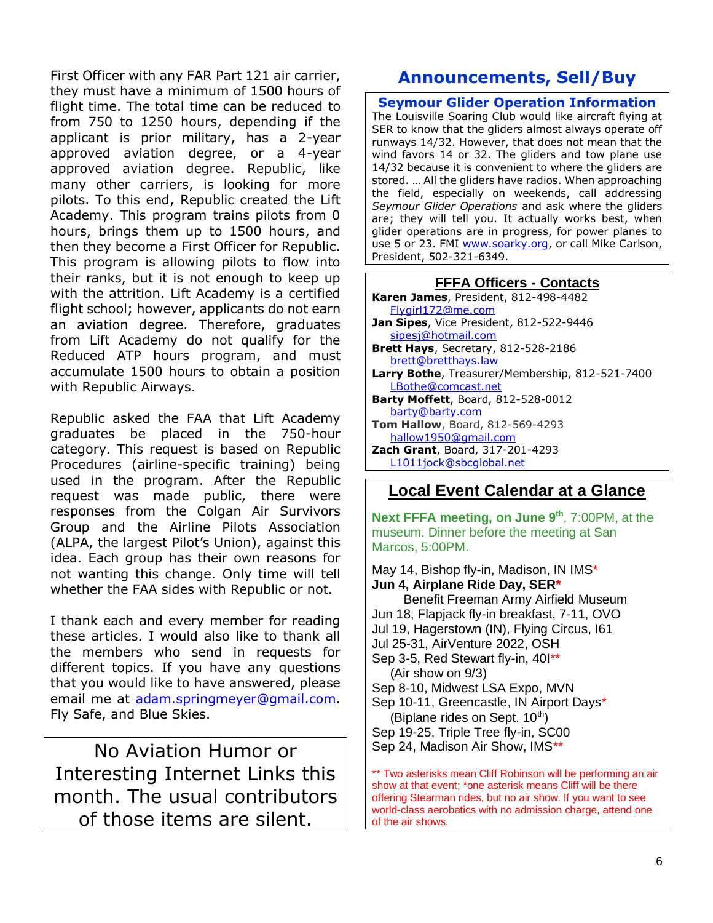First Officer with any FAR Part 121 air carrier, they must have a minimum of 1500 hours of flight time. The total time can be reduced to from 750 to 1250 hours, depending if the applicant is prior military, has a 2-year approved aviation degree, or a 4-year approved aviation degree. Republic, like many other carriers, is looking for more pilots. To this end, Republic created the Lift Academy. This program trains pilots from 0 hours, brings them up to 1500 hours, and then they become a First Officer for Republic. This program is allowing pilots to flow into their ranks, but it is not enough to keep up with the attrition. Lift Academy is a certified flight school; however, applicants do not earn an aviation degree. Therefore, graduates from Lift Academy do not qualify for the Reduced ATP hours program, and must accumulate 1500 hours to obtain a position with Republic Airways.

Republic asked the FAA that Lift Academy graduates be placed in the 750-hour category. This request is based on Republic Procedures (airline-specific training) being used in the program. After the Republic request was made public, there were responses from the Colgan Air Survivors Group and the Airline Pilots Association (ALPA, the largest Pilot's Union), against this idea. Each group has their own reasons for not wanting this change. Only time will tell whether the FAA sides with Republic or not.

I thank each and every member for reading these articles. I would also like to thank all the members who send in requests for different topics. If you have any questions that you would like to have answered, please email me at [adam.springmeyer@gmail.com.](mailto:adam.springmeyer@gmail.com) Fly Safe, and Blue Skies.

No Aviation Humor or Interesting Internet Links this month. The usual contributors of those items are silent.

# **Announcements, Sell/Buy**

**Seymour Glider Operation Information** The Louisville Soaring Club would like aircraft flying at SER to know that the gliders almost always operate off runways 14/32. However, that does not mean that the wind favors 14 or 32. The gliders and tow plane use 14/32 because it is convenient to where the gliders are stored. … All the gliders have radios. When approaching the field, especially on weekends, call addressing *Seymour Glider Operations* and ask where the gliders are; they will tell you. It actually works best, when glider operations are in progress, for power planes to use 5 or 23. FMI [www.soarky.org,](http://www.soarky.org/) or call Mike Carlson, President, 502-321-6349.

| <b>FFFA Officers - Contacts</b>                 |  |
|-------------------------------------------------|--|
| <b>Karen James</b> , President, 812-498-4482    |  |
| Flygirl172@me.com                               |  |
| Jan Sipes, Vice President, 812-522-9446         |  |
| sipesj@hotmail.com                              |  |
| <b>Brett Hays</b> , Secretary, 812-528-2186     |  |
| brett@bretthays.law                             |  |
| Larry Bothe, Treasurer/Membership, 812-521-7400 |  |
| LBothe@comcast.net                              |  |
| <b>Barty Moffett</b> , Board, 812-528-0012      |  |
| barty@barty.com                                 |  |
| Tom Hallow, Board, 812-569-4293                 |  |
| hallow1950@gmail.com                            |  |
| Zach Grant, Board, 317-201-4293                 |  |
| L1011jock@sbcqlobal.net                         |  |

# **Local Event Calendar at a Glance**

**Next FFFA meeting, on June 9 th**, 7:00PM, at the museum. Dinner before the meeting at San Marcos, 5:00PM.

May 14, Bishop fly-in, Madison, IN IMS\* **Jun 4, Airplane Ride Day, SER\*** Benefit Freeman Army Airfield Museum Jun 18, Flapjack fly-in breakfast, 7-11, OVO Jul 19, Hagerstown (IN), Flying Circus, I61 Jul 25-31, AirVenture 2022, OSH Sep 3-5, Red Stewart fly-in, 401\*\* (Air show on 9/3) Sep 8-10, Midwest LSA Expo, MVN Sep 10-11, Greencastle, IN Airport Days\* (Biplane rides on Sept.  $10<sup>th</sup>$ ) Sep 19-25, Triple Tree fly-in, SC00 Sep 24, Madison Air Show, IMS\*\* \*\* Two asterisks mean Cliff Robinson will be performing an air

show at that event; \*one asterisk means Cliff will be there offering Stearman rides, but no air show. If you want to see world-class aerobatics with no admission charge, attend one of the air shows.